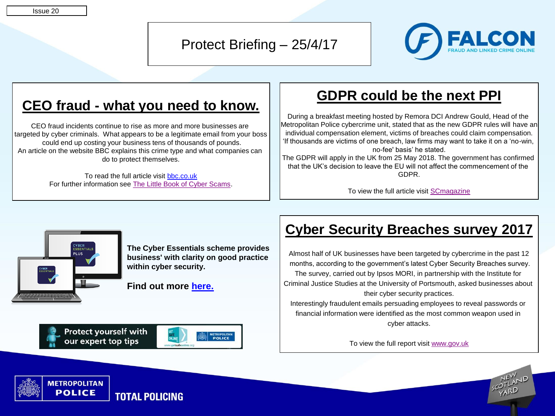#### Issue 20

Protect Briefing – 25/4/17



# **CEO fraud - what you need to know.**

CEO fraud incidents continue to rise as more and more businesses are targeted by cyber criminals. What appears to be a legitimate email from your boss could end up costing your business tens of thousands of pounds. An article on the website BBC explains this crime type and what companies can do to protect themselves.

> To read the full article visit [bbc.co.uk](http://www.bbc.co.uk/news/business-39429819) For further information see [The Little Book of Cyber Scams](https://www.met.police.uk/globalassets/downloads/fraud/the-little-book-cyber-scams.pdf).

### **GDPR could be the next PPI**

During a breakfast meeting hosted by Remora DCI Andrew Gould, Head of the Metropolitan Police cybercrime unit, stated that as the new GDPR rules will have an individual compensation element, victims of breaches could claim compensation. 'If thousands are victims of one breach, law firms may want to take it on a 'no-win, no-fee' basis' he stated.

The GDPR will apply in the UK from 25 May 2018. The government has confirmed that the UK's decision to leave the EU will not affect the commencement of the GDPR.

To view the full article visit [SCmagazine](https://www.scmagazineuk.com/met-police-quarter-of-cyber-crimes-solved-gdpr-could-be-the-next-ppi/article/649644/)



**The Cyber Essentials scheme provides business' with clarity on good practice within cyber security.**

**Find out more [here.](https://www.cyberstreetwise.com/cyberessentials/)**

# **Cyber Security Breaches survey 2017**

Almost half of UK businesses have been targeted by cybercrime in the past 12 months, according to the government's latest Cyber Security Breaches survey. The survey, carried out by Ipsos MORI, in partnership with the Institute for Criminal Justice Studies at the University of Portsmouth, asked businesses about their cyber security practices. Interestingly fraudulent emails persuading employees to reveal passwords or

financial information were identified as the most common weapon used in cyber attacks.

To view the full report visit [www.gov.uk](https://www.gov.uk/government/statistics/cyber-security-breaches-survey-2017.)



**Protect vourself with** our expert top tips



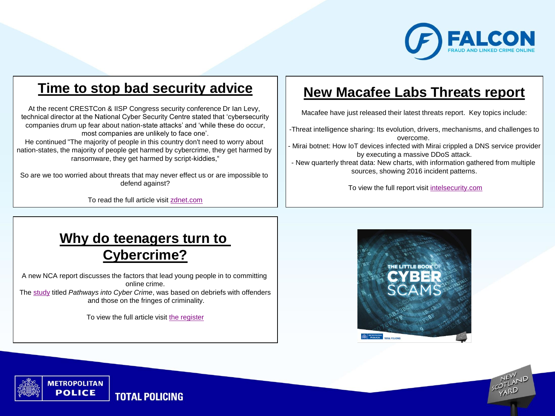

# **Time to stop bad security advice**

At the recent CRESTCon & IISP Congress security conference Dr Ian Levy, technical director at the National Cyber Security Centre stated that 'cybersecurity companies drum up fear about nation-state attacks' and 'while these do occur, most companies are unlikely to face one'.

He continued "The majority of people in this country don't need to worry about nation-states, the majority of people get harmed by cybercrime, they get harmed by ransomware, they get harmed by script-kiddies,"

So are we too worried about threats that may never effect us or are impossible to defend against?

To read the full article visit [zdnet.com](http://www.zdnet.com/article/terrified-about-cyber-ninjas-you-may-be-missing-the-real-threat/)

#### **New Macafee Labs Threats report**

Macafee have just released their latest threats report. Key topics include:

-Threat intelligence sharing: Its evolution, drivers, mechanisms, and challenges to overcome.

- Mirai botnet: How IoT devices infected with Mirai crippled a DNS service provider by executing a massive DDoS attack.
- New quarterly threat data: New charts, with information gathered from multiple sources, showing 2016 incident patterns.

To view the full report visit [intelsecurity.com](http://intelsecurity.lookbookhq.com/c/rp-quarterly-threats-6?x=3hRem9)

# **Why do teenagers turn to Cybercrime?**

A new NCA report discusses the factors that lead young people in to committing online crime. The [study](http://www.nationalcrimeagency.gov.uk/publications/791-pathways-into-cyber-crime/file) titled *Pathways into Cyber Crime*, was based on debriefs with offenders and those on the fringes of criminality.

To view the full article visit [the register](https://www.theregister.co.uk/2017/04/21/cybercrime_pathways/)

**TOTAL POLICING** 

**METROPOLITAN POLICE**